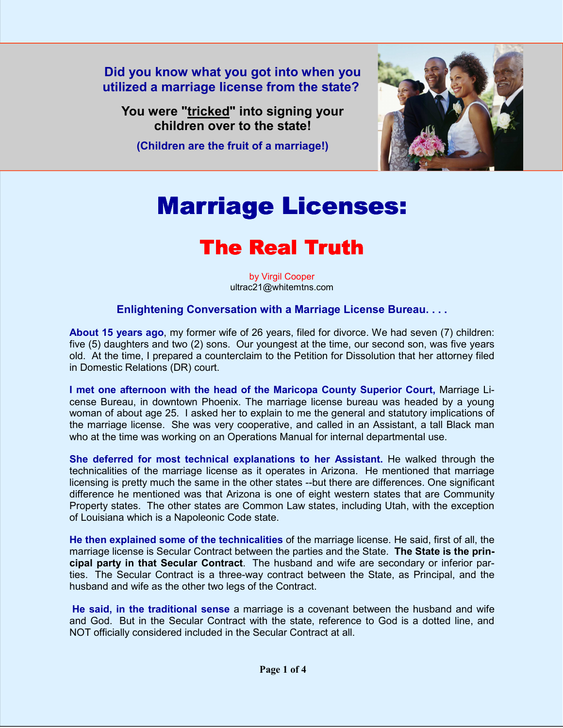**Did you know what you got into when you utilized a marriage license from the state?** 

**You were "tricked" into signing your children over to the state!** 

**(Children are the fruit of a marriage!)**



## Marriage Licenses:

## The Real Truth

by Virgil Cooper ultrac21@whitemtns.com

## **Enlightening Conversation with a Marriage License Bureau. . . .**

**About 15 years ago**, my former wife of 26 years, filed for divorce. We had seven (7) children: five (5) daughters and two (2) sons. Our youngest at the time, our second son, was five years old. At the time, I prepared a counterclaim to the Petition for Dissolution that her attorney filed in Domestic Relations (DR) court.

**I met one afternoon with the head of the Maricopa County Superior Court,** Marriage License Bureau, in downtown Phoenix. The marriage license bureau was headed by a young woman of about age 25. I asked her to explain to me the general and statutory implications of the marriage license. She was very cooperative, and called in an Assistant, a tall Black man who at the time was working on an Operations Manual for internal departmental use.

**She deferred for most technical explanations to her Assistant.** He walked through the technicalities of the marriage license as it operates in Arizona. He mentioned that marriage licensing is pretty much the same in the other states --but there are differences. One significant difference he mentioned was that Arizona is one of eight western states that are Community Property states. The other states are Common Law states, including Utah, with the exception of Louisiana which is a Napoleonic Code state.

**He then explained some of the technicalities** of the marriage license. He said, first of all, the marriage license is Secular Contract between the parties and the State. **The State is the principal party in that Secular Contract**. The husband and wife are secondary or inferior parties. The Secular Contract is a three-way contract between the State, as Principal, and the husband and wife as the other two legs of the Contract.

**He said, in the traditional sense** a marriage is a covenant between the husband and wife and God. But in the Secular Contract with the state, reference to God is a dotted line, and NOT officially considered included in the Secular Contract at all.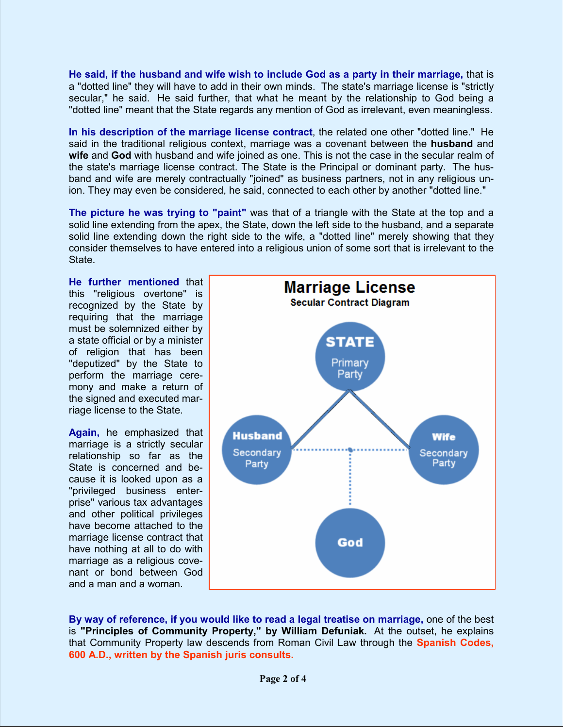**He said, if the husband and wife wish to include God as a party in their marriage,** that is a "dotted line" they will have to add in their own minds. The state's marriage license is "strictly secular," he said. He said further, that what he meant by the relationship to God being a "dotted line" meant that the State regards any mention of God as irrelevant, even meaningless.

**In his description of the marriage license contract**, the related one other "dotted line." He said in the traditional religious context, marriage was a covenant between the **husband** and **wife** and **God** with husband and wife joined as one. This is not the case in the secular realm of the state's marriage license contract. The State is the Principal or dominant party. The husband and wife are merely contractually "joined" as business partners, not in any religious union. They may even be considered, he said, connected to each other by another "dotted line."

**The picture he was trying to "paint"** was that of a triangle with the State at the top and a solid line extending from the apex, the State, down the left side to the husband, and a separate solid line extending down the right side to the wife, a "dotted line" merely showing that they consider themselves to have entered into a religious union of some sort that is irrelevant to the State.

**He further mentioned** that this "religious overtone" is recognized by the State by requiring that the marriage must be solemnized either by a state official or by a minister of religion that has been "deputized" by the State to perform the marriage ceremony and make a return of the signed and executed marriage license to the State.

**Again,** he emphasized that marriage is a strictly secular relationship so far as the State is concerned and because it is looked upon as a "privileged business enterprise" various tax advantages and other political privileges have become attached to the marriage license contract that have nothing at all to do with marriage as a religious covenant or bond between God and a man and a woman.



**By way of reference, if you would like to read a legal treatise on marriage,** one of the best is **"Principles of Community Property," by William Defuniak.** At the outset, he explains that Community Property law descends from Roman Civil Law through the **Spanish Codes, 600 A.D., written by the Spanish juris consults.**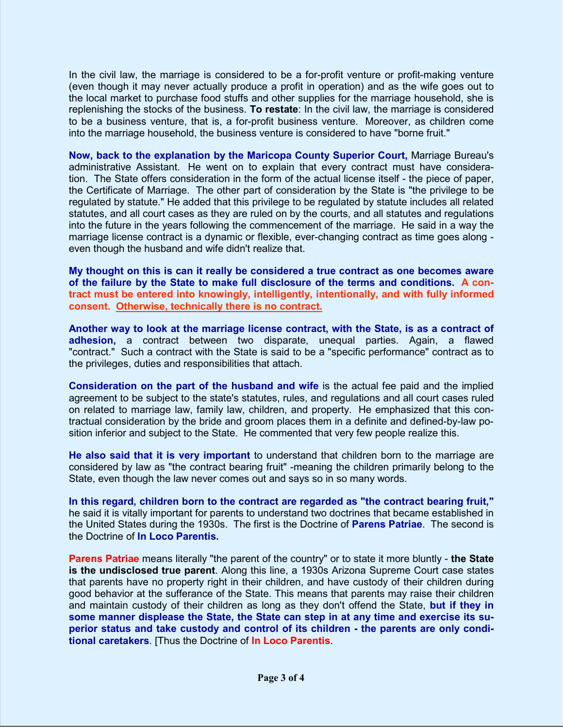In the civil law, the marriage is considered to be a for-profit venture or profit-making venture (even though it may never actually produce a profit in operation) and as the wife goes out to the local market to purchase food stuffs and other supplies for the marriage household, she is replenishing the stocks of the business. **To restate**: In the civil law, the marriage is considered to be a business venture, that is, a for-profit business venture. Moreover, as children come into the marriage household, the business venture is considered to have "borne fruit."

**Now, back to the explanation by the Maricopa County Superior Court,** Marriage Bureau's administrative Assistant. He went on to explain that every contract must have consideration. The State offers consideration in the form of the actual license itself - the piece of paper, the Certificate of Marriage. The other part of consideration by the State is "the privilege to be regulated by statute." He added that this privilege to be regulated by statute includes all related statutes, and all court cases as they are ruled on by the courts, and all statutes and regulations into the future in the years following the commencement of the marriage. He said in a way the marriage license contract is a dynamic or flexible, ever-changing contract as time goes along even though the husband and wife didn't realize that.

**My thought on this is can it really be considered a true contract as one becomes aware of the failure by the State to make full disclosure of the terms and conditions. A contract must be entered into knowingly, intelligently, intentionally, and with fully informed consent. Otherwise, technically there is no contract.**

**Another way to look at the marriage license contract, with the State, is as a contract of adhesion,** a contract between two disparate, unequal parties. Again, a flawed "contract." Such a contract with the State is said to be a "specific performance" contract as to the privileges, duties and responsibilities that attach.

**Consideration on the part of the husband and wife** is the actual fee paid and the implied agreement to be subject to the state's statutes, rules, and regulations and all court cases ruled on related to marriage law, family law, children, and property. He emphasized that this contractual consideration by the bride and groom places them in a definite and defined-by-law position inferior and subject to the State. He commented that very few people realize this.

**He also said that it is very important** to understand that children born to the marriage are considered by law as "the contract bearing fruit" -meaning the children primarily belong to the State, even though the law never comes out and says so in so many words.

**In this regard, children born to the contract are regarded as "the contract bearing fruit,"**  he said it is vitally important for parents to understand two doctrines that became established in the United States during the 1930s. The first is the Doctrine of **Parens Patriae**. The second is the Doctrine of **In Loco Parentis.**

**Parens Patriae** means literally "the parent of the country" or to state it more bluntly - **the State is the undisclosed true parent**. Along this line, a 1930s Arizona Supreme Court case states that parents have no property right in their children, and have custody of their children during good behavior at the sufferance of the State. This means that parents may raise their children and maintain custody of their children as long as they don't offend the State, **but if they in some manner displease the State, the State can step in at any time and exercise its superior status and take custody and control of its children - the parents are only conditional caretakers**. [Thus the Doctrine of **In Loco Parentis**.